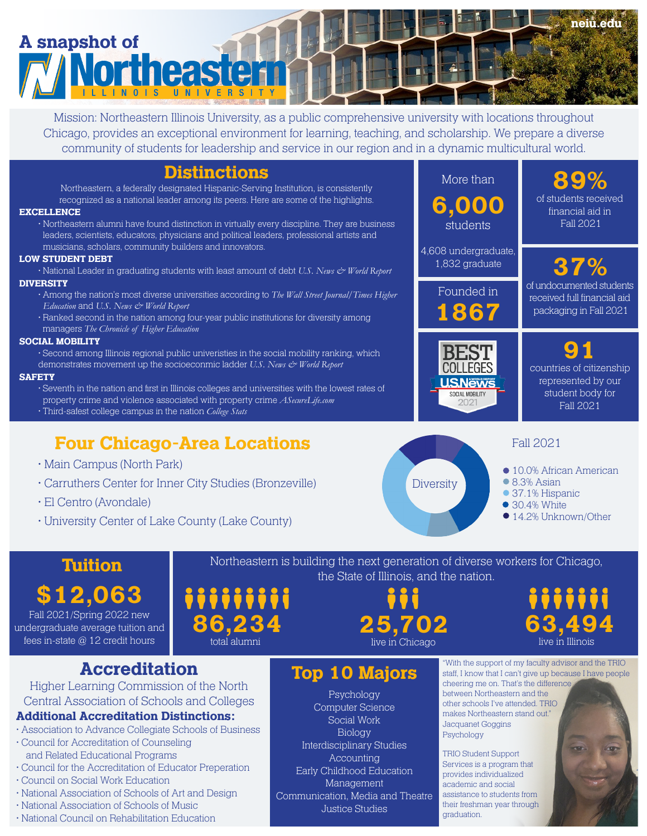# **A snapshot of ortheaster**

Mission: Northeastern Illinois University, as a public comprehensive university with locations throughout Chicago, provides an exceptional environment for learning, teaching, and scholarship. We prepare a diverse community of students for leadership and service in our region and in a dynamic multicultural world.

### **Distinctions**

Northeastern, a federally designated Hispanic-Serving Institution, is consistently recognized as a national leader among its peers. Here are some of the highlights.

### **EXCELLENCE**

• Northeastern alumni have found distinction in virtually every discipline. They are business leaders, scientists, educators, physicians and political leaders, professional artists and musicians, scholars, community builders and innovators.

### **LOW STUDENT DEBT**

• National Leader in graduating students with least amount of debt *U.S. News & World Report* **DIVERSITY**

- Among the nation's most diverse universities according to *The Wall Street Journal/Times Higher Education* and *U.S. News & World Report*
- · Ranked second in the nation among four-year public institutions for diversity among managers *The Chronicle of Higher Education*

### **SOCIAL MOBILITY**

· Second among Illinois regional public univeristies in the social mobility ranking, which demonstrates movement up the socioeconmic ladder *U.S. News & World Report* 

#### **SAFETY**

- Seventh in the nation and first in Illinois colleges and universities with the lowest rates of
- property crime and violence associated with property crime *ASecureLife.com*
- Third-safest college campus in the nation *College Stats*

**Accreditation** Higher Learning Commission of the North Central Association of Schools and Colleges **Additional Accreditation Distinctions:** • Association to Advance Collegiate Schools of Business

• Council for the Accreditation of Educator Preperation

• National Association of Schools of Art and Design

# **Four Chicago-Area Locations**

- Main Campus (North Park)
- Carruthers Center for Inner City Studies (Bronzeville)
- El Centro (Avondale)
- University Center of Lake County (Lake County)



# **TBD** %

**neiu.edu**

financial aid in Fall 2021

### 4,608 undergraduate, 1,832 graduate

More than

**6,000** students

Founded in

**1867**

**TBD%** 37%of undocumented students received full financial aid packaging in Fall 2021



**91** countries of citizenship represented by our student body for Fall 2021

### Fall 2021

 $\bullet$  10.0% African American

- 8.3% Asian
- 37.1% Hispanic
- 30.4% White
- <sup>1</sup>4.2% Unknown/Other

## **Tuition**

**\$12,063**

Fall 2021/Spring 2022 new undergraduate average tuition and fees in-state  $@12$  credit hours



# **Top 10 Majors**

Psychology Computer Science Social Work **Biology** Interdisciplinary Studies **Accounting** Early Childhood Education Management Communication, Media and Theatre Justice Studies

"With the support of my faculty advisor and the TRIO staff, I know that I can't give up because I have people cheering me on. That's the difference between Northeastern and the

other schools I've attended. TRIO makes Northeastern stand out." Jacquanet Goggins Psychology

TRIO Student Support Services is a program that provides individualized academic and social assistance to students from their freshman year through graduation.



• National Association of Schools of Music • National Council on Rehabilitation Education

Council on Social Work Education

• Council for Accreditation of Counseling and Related Educational Programs

the State of Illinois, and the nation. live in Chicago

Northeastern is building the next generation of diverse workers for Chicago,